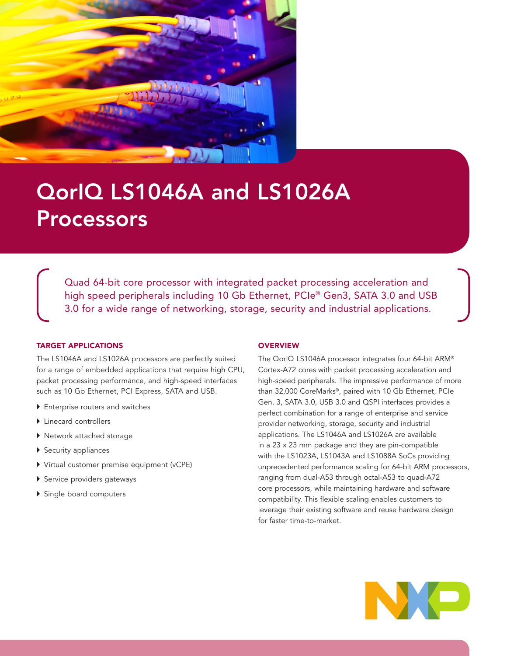

# QorIQ LS1046A and LS1026A Processors

Quad 64-bit core processor with integrated packet processing acceleration and high speed peripherals including 10 Gb Ethernet, PCIe® Gen3, SATA 3.0 and USB 3.0 for a wide range of networking, storage, security and industrial applications.

#### TARGET APPLICATIONS

The LS1046A and LS1026A processors are perfectly suited for a range of embedded applications that require high CPU, packet processing performance, and high-speed interfaces such as 10 Gb Ethernet, PCI Express, SATA and USB.

- ▶ Enterprise routers and switches
- ▶ Linecard controllers
- } Network attached storage
- ▶ Security appliances
- } Virtual customer premise equipment (vCPE)
- } Service providers gateways
- ▶ Single board computers

#### **OVERVIEW**

The QorIQ LS1046A processor integrates four 64-bit ARM® Cortex-A72 cores with packet processing acceleration and high-speed peripherals. The impressive performance of more than 32,000 CoreMarks®, paired with 10 Gb Ethernet, PCIe Gen. 3, SATA 3.0, USB 3.0 and QSPI interfaces provides a perfect combination for a range of enterprise and service provider networking, storage, security and industrial applications. The LS1046A and LS1026A are available in a 23 x 23 mm package and they are pin-compatible with the LS1023A, LS1043A and LS1088A SoCs providing unprecedented performance scaling for 64-bit ARM processors, ranging from dual-A53 through octal-A53 to quad-A72 core processors, while maintaining hardware and software compatibility. This flexible scaling enables customers to leverage their existing software and reuse hardware design for faster time-to-market.

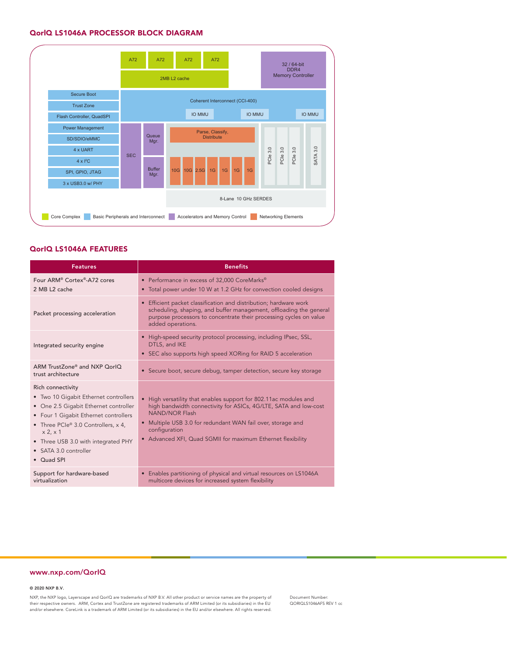#### QorlQ LS1046A PROCESSOR BLOCK DIAGRAM



#### QorIQ LS1046A FEATURES

| <b>Features</b>                                                                                                                                                                                                                                                                           | <b>Benefits</b>                                                                                                                                                                                                                                                                                              |
|-------------------------------------------------------------------------------------------------------------------------------------------------------------------------------------------------------------------------------------------------------------------------------------------|--------------------------------------------------------------------------------------------------------------------------------------------------------------------------------------------------------------------------------------------------------------------------------------------------------------|
| Four ARM <sup>®</sup> Cortex <sup>®</sup> -A72 cores<br>2 MB L2 cache                                                                                                                                                                                                                     | • Performance in excess of 32,000 CoreMarks®<br>• Total power under 10 W at 1.2 GHz for convection cooled designs                                                                                                                                                                                            |
| Packet processing acceleration                                                                                                                                                                                                                                                            | • Efficient packet classification and distribution; hardware work<br>scheduling, shaping, and buffer management, offloading the general<br>purpose processors to concentrate their processing cycles on value<br>added operations.                                                                           |
| Integrated security engine                                                                                                                                                                                                                                                                | • High-speed security protocol processing, including IPsec, SSL,<br>DTLS, and IKE<br>• SEC also supports high speed XORing for RAID 5 acceleration                                                                                                                                                           |
| ARM TrustZone® and NXP OorlO<br>trust architecture                                                                                                                                                                                                                                        | • Secure boot, secure debug, tamper detection, secure key storage                                                                                                                                                                                                                                            |
| Rich connectivity<br>• Two 10 Gigabit Ethernet controllers<br>• One 2.5 Gigabit Ethernet controller<br>• Four 1 Gigabit Ethernet controllers<br>• Three PCIe <sup>®</sup> 3.0 Controllers, x 4,<br>x 2, x 1<br>• Three USB 3.0 with integrated PHY<br>• SATA 3.0 controller<br>• Quad SPI | • High versatility that enables support for 802.11ac modules and<br>high bandwidth connectivity for ASICs, 4G/LTE, SATA and low-cost<br><b>NAND/NOR Flash</b><br>• Multiple USB 3.0 for redundant WAN fail over, storage and<br>configuration<br>• Advanced XFI, Quad SGMII for maximum Ethernet flexibility |
| Support for hardware-based<br>virtualization                                                                                                                                                                                                                                              | • Enables partitioning of physical and virtual resources on LS1046A<br>multicore devices for increased system flexibility                                                                                                                                                                                    |

#### www.nxp.com/QorIQ

© 2020 NXP B.V.

NXP, the NXP logo, Layerscape and QorIQ are trademarks of NXP B.V. All other product or service names are the property of their respective owners. ARM, Cortex and TrustZone are registered trademarks of ARM Limited (or its subsidiaries) in the EU and/or elsewhere. CoreLink is a trademark of ARM Limited (or its subsidiaries) in the EU and/or elsewhere. All rights reserved.

Document Number: QORIQLS1046AFS REV 1 cc